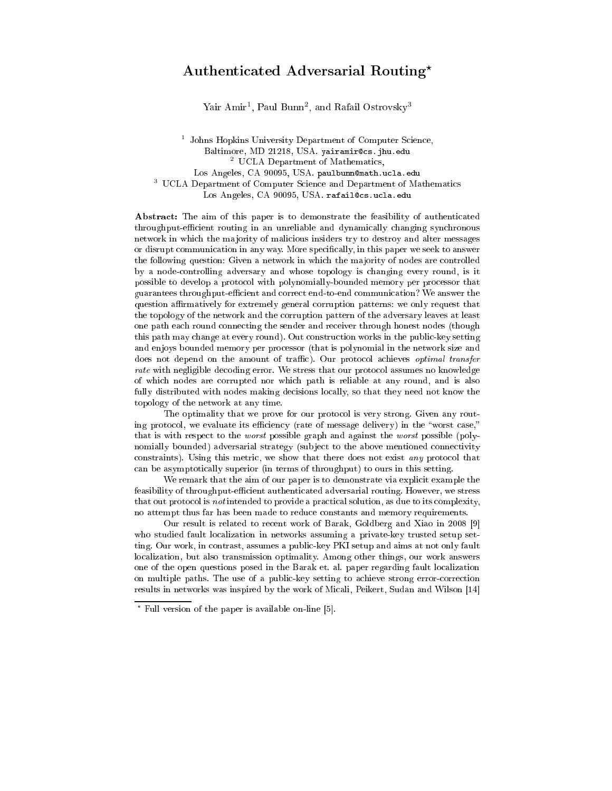# Authenticated Adversarial Routing?

Yair Amir<sup>1</sup>, Paul Bunn<sup>2</sup>, and Rafail Ostrovsky<sup>3</sup>

<sup>1</sup> Johns Hopkins University Department of Computer Science, Baltimore, MD 21218, USA. yairamir@cs.jhu.edu <sup>2</sup> UCLA Department of Mathematics, Los Angeles, CA 90095, USA. paulbunn@math.ucla.edu  $3$  UCLA Department of Computer Science and Department of Mathematics Los Angeles, CA 90095, USA. rafail@cs.ucla.edu

Abstract: The aim of this paper is to demonstrate the feasibility of authenticated throughput-efficient routing in an unreliable and dynamically changing synchronous network in which the ma jority of malicious insiders try to destroy and alter messages or disrupt communication in any way. More specifically, in this paper we seek to answer the following question: Given a network in which the majority of nodes are controlled by a node-controlling adversary and whose topology is changing every round, is it possible to develop a protocol with polynomially-bounded memory per processor that guarantees throughput-ecient and correct end-to-end communication? We answer the question affirmatively for extremely general corruption patterns: we only request that the topology of the network and the corruption pattern of the adversary leaves at least one path each round connecting the sender and receiver through honest nodes (though this path may change at every round). Out construction works in the public-key setting and enjoys bounded memory per processor (that is polynomial in the network size and does not depend on the amount of traffic). Our protocol achieves *optimal transfer* rate with negligible decoding error. We stress that our protocol assumes no knowledge of which nodes are corrupted nor which path is reliable at any round, and is also fully distributed with nodes making decisions locally, so that they need not know the topology of the network at any time.

The optimality that we prove for our protocol is very strong. Given any routing protocol, we evaluate its efficiency (rate of message delivery) in the "worst case," that is with respect to the worst possible graph and against the worst possible (polynomially bounded) adversarial strategy (subject to the above mentioned connectivity constraints). Using this metric, we show that there does not exist any protocol that can be asymptotically superior (in terms of throughput) to ours in this setting.

We remark that the aim of our paper is to demonstrate via explicit example the feasibility of throughput-efficient authenticated adversarial routing. However, we stress that out protocol is not intended to provide a practical solution, as due to its complexity, no attempt thus far has been made to reduce constants and memory requirements.

Our result is related to recent work of Barak, Goldberg and Xiao in 2008 [9] who studied fault localization in networks assuming a private-key trusted setup setting. Our work, in contrast, assumes a public-key PKI setup and aims at not only fault localization, but also transmission optimality. Among other things, our work answers one of the open questions posed in the Barak et. al. paper regarding fault localization on multiple paths. The use of a public-key setting to achieve strong error-correction results in networks was inspired by the work of Micali, Peikert, Sudan and Wilson [14]

<sup>?</sup> Full version of the paper is available on-line [5].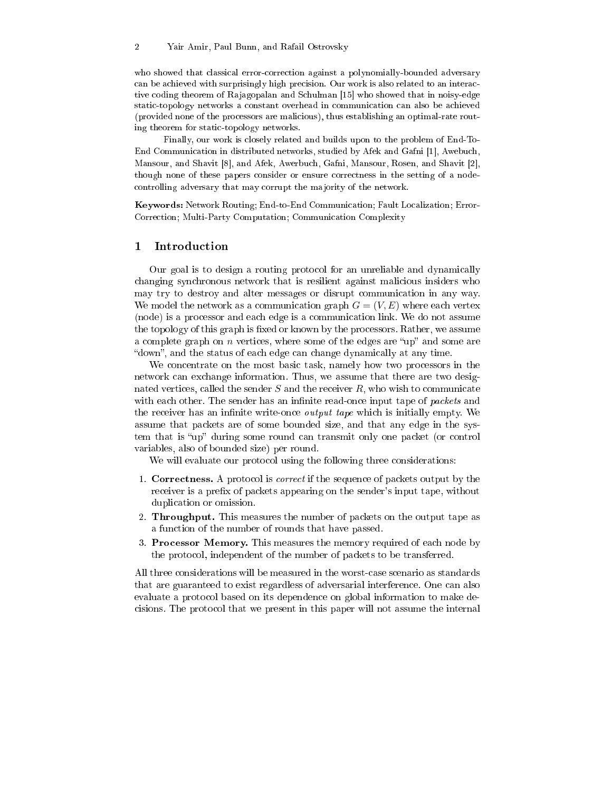who showed that classical error-correction against a polynomially-bounded adversary can be achieved with surprisingly high precision. Our work is also related to an interactive coding theorem of Ra jagopalan and Schulman [15] who showed that in noisy-edge static-topology networks a constant overhead in communication can also be achieved (provided none of the processors are malicious), thus establishing an optimal-rate routing theorem for static-topology networks.

Finally, our work is closely related and builds upon to the problem of End-To-End Communication in distributed networks, studied by Afek and Gafni [1], Awebuch, Mansour, and Shavit [8], and Afek, Awerbuch, Gafni, Mansour, Rosen, and Shavit [2], though none of these papers consider or ensure correctness in the setting of a nodecontrolling adversary that may corrupt the ma jority of the network.

Keywords: Network Routing; End-to-End Communication; Fault Localization; Error-Correction; Multi-Party Computation; Communication Complexity

# 1 Introduction

Our goal is to design a routing protocol for an unreliable and dynamically changing synchronous network that is resilient against malicious insiders who may try to destroy and alter messages or disrupt communication in any way. We model the network as a communication graph  $G = (V, E)$  where each vertex (node) is a processor and each edge is a communication link. We do not assume the topology of this graph is fixed or known by the processors. Rather, we assume a complete graph on  $n$  vertices, where some of the edges are "up" and some are "down", and the status of each edge can change dynamically at any time.

We concentrate on the most basic task, namely how two processors in the network can exchange information. Thus, we assume that there are two designated vertices, called the sender  $S$  and the receiver  $R$ , who wish to communicate with each other. The sender has an infinite read-once input tape of *packets* and the receiver has an infinite write-once *output tape* which is initially empty. We assume that packets are of some bounded size, and that any edge in the system that is "up" during some round can transmit only one packet (or control variables, also of bounded size) per round.

We will evaluate our protocol using the following three considerations:

- 1. Correctness. A protocol is correct if the sequence of packets output by the receiver is a prefix of packets appearing on the sender's input tape, without duplication or omission.
- 2. Throughput. This measures the number of packets on the output tape as a function of the number of rounds that have passed.
- 3. Processor Memory. This measures the memory required of each node by the protocol, independent of the number of packets to be transferred.

All three considerations will be measured in the worst-case scenario as standards that are guaranteed to exist regardless of adversarial interference. One can also evaluate a protocol based on its dependence on global information to make decisions. The protocol that we present in this paper will not assume the internal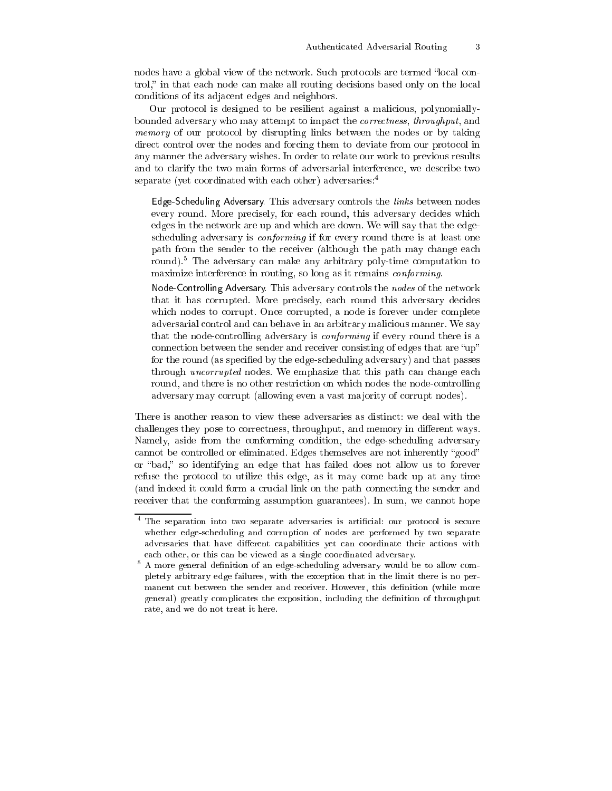3

nodes have a global view of the network. Such protocols are termed "local control," in that each node can make all routing decisions based only on the local conditions of its adjacent edges and neighbors.

Our protocol is designed to be resilient against a malicious, polynomiallybounded adversary who may attempt to impact the correctness, throughput, and memory of our protocol by disrupting links between the nodes or by taking direct control over the nodes and forcing them to deviate from our protocol in any manner the adversary wishes. In order to relate our work to previous results and to clarify the two main forms of adversarial interference, we describe two separate (yet coordinated with each other) adversaries:4

Edge-Scheduling Adversary. This adversary controls the links between nodes every round. More precisely, for each round, this adversary decides which edges in the network are up and which are down. We will say that the edgescheduling adversary is *conforming* if for every round there is at least one path from the sender to the receiver (although the path may change each round).5 The adversary can make any arbitrary poly-time computation to maximize interference in routing, so long as it remains conforming.

Node-Controlling Adversary. This adversary controls the nodes of the network that it has corrupted. More precisely, each round this adversary decides which nodes to corrupt. Once corrupted, a node is forever under complete adversarial control and can behave in an arbitrary malicious manner. We say that the node-controlling adversary is conforming if every round there is a connection between the sender and receiver consisting of edges that are "up" for the round (as specified by the edge-scheduling adversary) and that passes through uncorrupted nodes. We emphasize that this path can change each round, and there is no other restriction on which nodes the node-controlling adversary may corrupt (allowing even a vast majority of corrupt nodes).

There is another reason to view these adversaries as distinct: we deal with the challenges they pose to correctness, throughput, and memory in different ways. Namely, aside from the conforming condition, the edge-scheduling adversary cannot be controlled or eliminated. Edges themselves are not inherently "good" or "bad," so identifying an edge that has failed does not allow us to forever refuse the protocol to utilize this edge, as it may come back up at any time (and indeed it could form a crucial link on the path connecting the sender and receiver that the conforming assumption guarantees). In sum, we cannot hope

The separation into two separate adversaries is artificial: our protocol is secure whether edge-scheduling and corruption of nodes are performed by two separate adversaries that have different capabilities yet can coordinate their actions with each other, or this can be viewed as a single coordinated adversary.

<sup>5</sup> A more general denition of an edge-scheduling adversary would be to allow completely arbitrary edge failures, with the exception that in the limit there is no permanent cut between the sender and receiver. However, this definition (while more general) greatly complicates the exposition, including the denition of throughput rate, and we do not treat it here.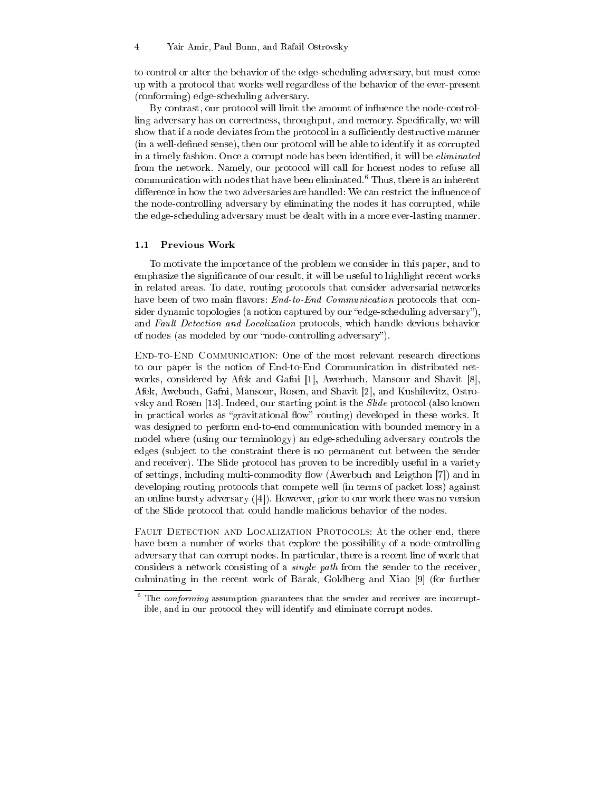to control or alter the behavior of the edge-scheduling adversary, but must come up with a protocol that works well regardless of the behavior of the ever-present (conforming) edge-scheduling adversary.

By contrast, our protocol will limit the amount of influence the node-controlling adversary has on correctness, throughput, and memory. Specifically, we will show that if a node deviates from the protocol in a sufficiently destructive manner (in a well-defined sense), then our protocol will be able to identify it as corrupted in a timely fashion. Once a corrupt node has been identified, it will be *eliminated* from the network. Namely, our protocol will call for honest nodes to refuse all communication with nodes that have been eliminated.6 Thus, there is an inherent difference in how the two adversaries are handled: We can restrict the influence of the node-controlling adversary by eliminating the nodes it has corrupted, while the edge-scheduling adversary must be dealt with in a more ever-lasting manner.

### 1.1 Previous Work

To motivate the importance of the problem we consider in this paper, and to emphasize the significance of our result, it will be useful to highlight recent works in related areas. To date, routing protocols that consider adversarial networks have been of two main flavors: *End-to-End Communication* protocols that consider dynamic topologies (a notion captured by our "edge-scheduling adversary"), and Fault Detection and Localization protocols, which handle devious behavior of nodes (as modeled by our "node-controlling adversary").

End-to-End Communication: One of the most relevant research directions to our paper is the notion of End-to-End Communication in distributed networks, considered by Afek and Gafni [1], Awerbuch, Mansour and Shavit [8], Afek, Awebuch, Gafni, Mansour, Rosen, and Shavit [2], and Kushilevitz, Ostrovsky and Rosen [13]. Indeed, our starting point is the Slide protocol (also known in practical works as "gravitational flow" routing) developed in these works. It was designed to perform end-to-end communication with bounded memory in a model where (using our terminology) an edge-scheduling adversary controls the edges (subject to the constraint there is no permanent cut between the sender and receiver). The Slide protocol has proven to be incredibly useful in a variety of settings, including multi-commodity flow (Awerbuch and Leigthon  $[7]$ ) and in developing routing protocols that compete well (in terms of packet loss) against an online bursty adversary ([4]). However, prior to our work there was no version of the Slide protocol that could handle malicious behavior of the nodes.

FAULT DETECTION AND LOCALIZATION PROTOCOLS: At the other end, there have been a number of works that explore the possibility of a node-controlling adversary that can corrupt nodes. In particular, there is a recent line of work that considers a network consisting of a *single path* from the sender to the receiver, culminating in the recent work of Barak, Goldberg and Xiao [9] (for further

<sup>6</sup> The conforming assumption guarantees that the sender and receiver are incorruptible, and in our protocol they will identify and eliminate corrupt nodes.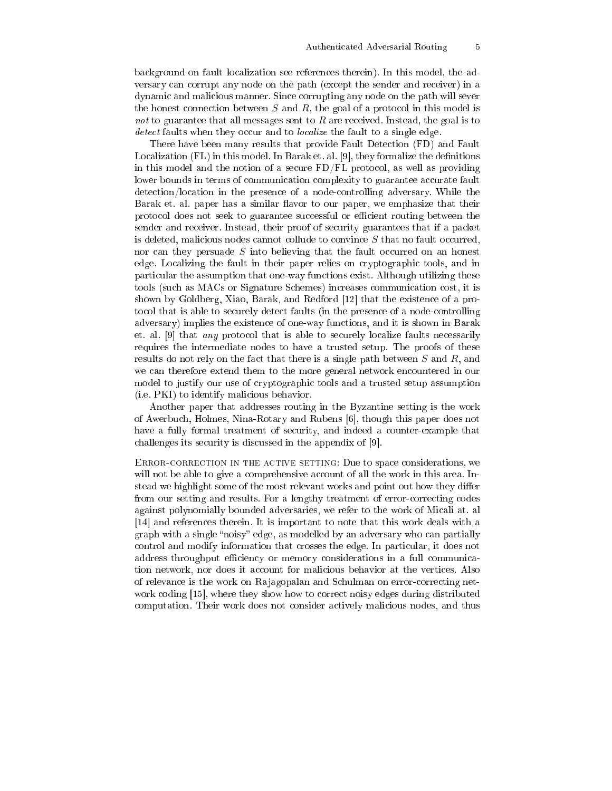background on fault localization see references therein). In this model, the adversary can corrupt any node on the path (except the sender and receiver) in a dynamic and malicious manner. Since corrupting any node on the path will sever the honest connection between  $S$  and  $R$ , the goal of a protocol in this model is not to guarantee that all messages sent to  $R$  are received. Instead, the goal is to detect faults when they occur and to localize the fault to a single edge.

There have been many results that provide Fault Detection (FD) and Fault Localization  $(FL)$  in this model. In Barak et. al.  $[9]$ , they formalize the definitions in this model and the notion of a secure FD/FL protocol, as well as providing lower bounds in terms of communication complexity to guarantee accurate fault detection/location in the presence of a node-controlling adversary. While the Barak et. al. paper has a similar flavor to our paper, we emphasize that their protocol does not seek to guarantee successful or efficient routing between the sender and receiver. Instead, their proof of security guarantees that if a packet is deleted, malicious nodes cannot collude to convince  $S$  that no fault occurred, nor can they persuade  $S$  into believing that the fault occurred on an honest edge. Localizing the fault in their paper relies on cryptographic tools, and in particular the assumption that one-way functions exist. Although utilizing these tools (such as MACs or Signature Schemes) increases communication cost, it is shown by Goldberg, Xiao, Barak, and Redford [12] that the existence of a protocol that is able to securely detect faults (in the presence of a node-controlling adversary) implies the existence of one-way functions, and it is shown in Barak et. al. [9] that any protocol that is able to securely localize faults necessarily requires the intermediate nodes to have a trusted setup. The proofs of these results do not rely on the fact that there is a single path between  $S$  and  $R$ , and we can therefore extend them to the more general network encountered in our model to justify our use of cryptographic tools and a trusted setup assumption (i.e. PKI) to identify malicious behavior.

Another paper that addresses routing in the Byzantine setting is the work of Awerbuch, Holmes, Nina-Rotary and Rubens [6], though this paper does not have a fully formal treatment of security, and indeed a counter-example that challenges its security is discussed in the appendix of [9].

Error-correction in the active setting: Due to space considerations, we will not be able to give a comprehensive account of all the work in this area. Instead we highlight some of the most relevant works and point out how they differ from our setting and results. For a lengthy treatment of error-correcting codes against polynomially bounded adversaries, we refer to the work of Micali at. al [14] and references therein. It is important to note that this work deals with a graph with a single "noisy" edge, as modelled by an adversary who can partially control and modify information that crosses the edge. In particular, it does not address throughput efficiency or memory considerations in a full communication network, nor does it account for malicious behavior at the vertices. Also of relevance is the work on Ra jagopalan and Schulman on error-correcting network coding [15], where they show how to correct noisy edges during distributed computation. Their work does not consider actively malicious nodes, and thus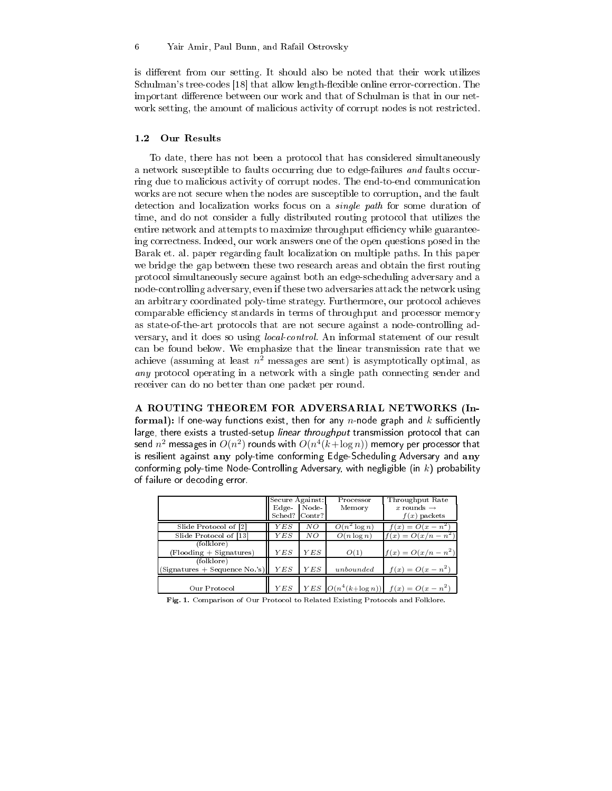is different from our setting. It should also be noted that their work utilizes Schulman's tree-codes [18] that allow length-flexible online error-correction. The important difference between our work and that of Schulman is that in our network setting, the amount of malicious activity of corrupt nodes is not restricted.

## 1.2 Our Results

To date, there has not been a protocol that has considered simultaneously a network susceptible to faults occurring due to edge-failures and faults occurring due to malicious activity of corrupt nodes. The end-to-end communication works are not secure when the nodes are susceptible to corruption, and the fault detection and localization works focus on a single path for some duration of time, and do not consider a fully distributed routing protocol that utilizes the entire network and attempts to maximize throughput efficiency while guaranteeing correctness. Indeed, our work answers one of the open questions posed in the Barak et. al. paper regarding fault localization on multiple paths. In this paper we bridge the gap between these two research areas and obtain the first routing protocol simultaneously secure against both an edge-scheduling adversary and a node-controlling adversary, even if these two adversaries attack the network using an arbitrary coordinated poly-time strategy. Furthermore, our protocol achieves comparable efficiency standards in terms of throughput and processor memory as state-of-the-art protocols that are not secure against a node-controlling adversary, and it does so using local-control. An informal statement of our result can be found below. We emphasize that the linear transmission rate that we achieve (assuming at least  $n^2$  messages are sent) is asymptotically optimal, as any protocol operating in a network with a single path connecting sender and receiver can do no better than one packet per round.

A ROUTING THEOREM FOR ADVERSARIAL NETWORKS (Informal): If one-way functions exist, then for any n-node graph and k sufficiently large, there exists a trusted-setup linear throughput transmission protocol that can send  $n^2$  messages in  $O(n^2)$  rounds with  $O(n^4(k+\log n))$  memory per processor that is resilient against any poly-time conforming Edge-Scheduling Adversary and any conforming poly-time Node-Controlling Adversary, with negligible (in  $k$ ) probability of failure or decoding error.

|                                 | Secure Against: |       | Processor       | Throughput Rate                            |
|---------------------------------|-----------------|-------|-----------------|--------------------------------------------|
|                                 | Edge   Node     |       | Memory          | x rounds $\rightarrow$                     |
|                                 | Sched? Contr?   |       |                 | $f(x)$ packets                             |
| Slide Protocol of [2]           | YES             | NΟ    | $O(n^2 \log n)$ | $f(x) = O(x - n^2)$                        |
| Slide Protocol of [13]          | ΥES             | NO    | $O(n \log n)$   | $f(x) = O(x/n - n^2)$                      |
| (folklore)                      |                 |       |                 |                                            |
| $Flooding + Signatures)$        | YES             | Y E S | O(1)            | $f(x) = O(x/n - n^2)$                      |
| (folklore)                      |                 |       |                 |                                            |
| $(Signatures + Sequence No.'s)$ | YES             | YES   | unbounded       | $f(x) = O(x - n^2)$                        |
|                                 |                 |       |                 |                                            |
| Our Protocol                    | YES             |       |                 | YES $ O(n^4(k+\log n))  f(x) = O(x - n^2)$ |

Fig. 1. Comparison of Our Protocol to Related Existing Protocols and Folklore.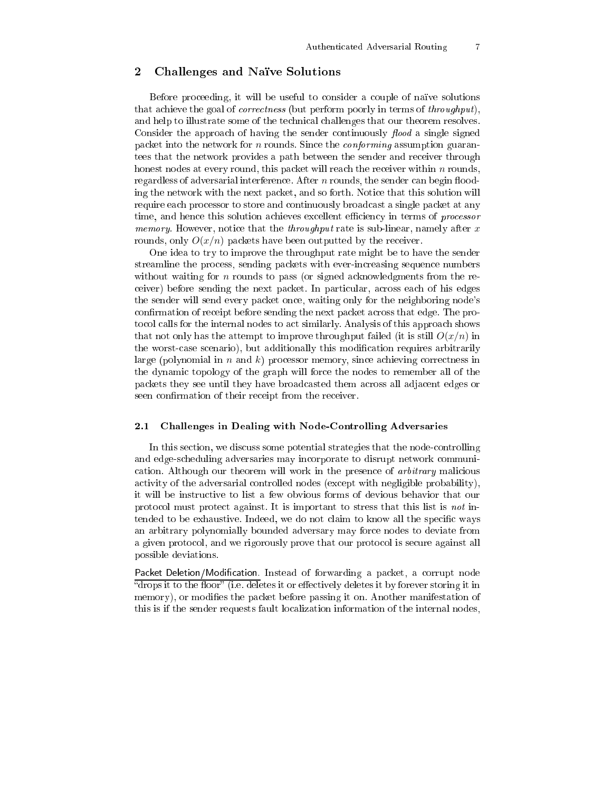### $\overline{2}$ 2 Challenges and Naïve Solutions

Before proceeding, it will be useful to consider a couple of naïve solutions that achieve the goal of *correctness* (but perform poorly in terms of *throughput*), and help to illustrate some of the technical challenges that our theorem resolves. Consider the approach of having the sender continuously  $\theta$ *ood* a single signed packet into the network for n rounds. Since the conforming assumption guarantees that the network provides a path between the sender and receiver through honest nodes at every round, this packet will reach the receiver within  $n$  rounds, regardless of adversarial interference. After  $n$  rounds, the sender can begin flooding the network with the next packet, and so forth. Notice that this solution will require each processor to store and continuously broadcast a single packet at any time, and hence this solution achieves excellent efficiency in terms of *processor memory.* However, notice that the *throughput* rate is sub-linear, namely after x rounds, only  $O(x/n)$  packets have been outputted by the receiver.

One idea to try to improve the throughput rate might be to have the sender streamline the process, sending packets with ever-increasing sequence numbers without waiting for  $n$  rounds to pass (or signed acknowledgments from the receiver) before sending the next packet. In particular, across each of his edges the sender will send every packet once, waiting only for the neighboring node's confirmation of receipt before sending the next packet across that edge. The protocol calls for the internal nodes to act similarly. Analysis of this approach shows that not only has the attempt to improve throughput failed (it is still  $O(x/n)$  in the worst-case scenario), but additionally this modification requires arbitrarily large (polynomial in n and k) processor memory, since achieving correctness in the dynamic topology of the graph will force the nodes to remember all of the packets they see until they have broadcasted them across all adjacent edges or seen confirmation of their receipt from the receiver.

## 2.1 Challenges in Dealing with Node-Controlling Adversaries

In this section, we discuss some potential strategies that the node-controlling and edge-scheduling adversaries may incorporate to disrupt network communication. Although our theorem will work in the presence of arbitrary malicious activity of the adversarial controlled nodes (except with negligible probability), it will be instructive to list a few obvious forms of devious behavior that our protocol must protect against. It is important to stress that this list is not intended to be exhaustive. Indeed, we do not claim to know all the specific ways an arbitrary polynomially bounded adversary may force nodes to deviate from a given protocol, and we rigorously prove that our protocol is secure against all possible deviations.

Packet Deletion/Modification. Instead of forwarding a packet, a corrupt node "drops it to the floor" (i.e. deletes it or effectively deletes it by forever storing it in memory), or modifies the packet before passing it on. Another manifestation of this is if the sender requests fault localization information of the internal nodes,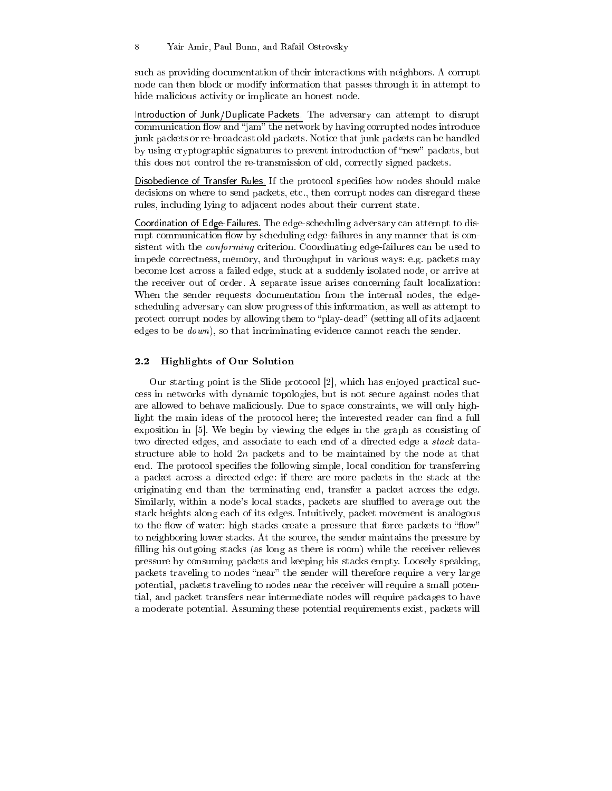such as providing documentation of their interactions with neighbors. A corrupt node can then block or modify information that passes through it in attempt to hide malicious activity or implicate an honest node.

Introduction of Junk/Duplicate Packets. The adversary can attempt to disrupt communication flow and "jam" the network by having corrupted nodes introduce junk packets or re-broadcast old packets. Notice that junk packets can be handled by using cryptographic signatures to prevent introduction of "new" packets, but this does not control the re-transmission of old, correctly signed packets.

Disobedience of Transfer Rules. If the protocol specifies how nodes should make decisions on where to send packets, etc., then corrupt nodes can disregard these rules, including lying to adjacent nodes about their current state.

Coordination of Edge-Failures. The edge-scheduling adversary can attempt to disrupt communication flow by scheduling edge-failures in any manner that is consistent with the *conforming* criterion. Coordinating edge-failures can be used to impede correctness, memory, and throughput in various ways: e.g. packets may become lost across a failed edge, stuck at a suddenly isolated node, or arrive at the receiver out of order. A separate issue arises concerning fault localization: When the sender requests documentation from the internal nodes, the edgescheduling adversary can slow progress of this information, as well as attempt to protect corrupt nodes by allowing them to "play-dead" (setting all of its adjacent edges to be down), so that incriminating evidence cannot reach the sender.

# 2.2 Highlights of Our Solution

Our starting point is the Slide protocol [2], which has enjoyed practical success in networks with dynamic topologies, but is not secure against nodes that are allowed to behave maliciously. Due to space constraints, we will only highlight the main ideas of the protocol here; the interested reader can find a full exposition in [5]. We begin by viewing the edges in the graph as consisting of two directed edges, and associate to each end of a directed edge a stack datastructure able to hold  $2n$  packets and to be maintained by the node at that end. The protocol specifies the following simple, local condition for transferring a packet across a directed edge: if there are more packets in the stack at the originating end than the terminating end, transfer a packet across the edge. Similarly, within a node's local stacks, packets are shuffled to average out the stack heights along each of its edges. Intuitively, packet movement is analogous to the flow of water: high stacks create a pressure that force packets to "flow" to neighboring lower stacks. At the source, the sender maintains the pressure by filling his outgoing stacks (as long as there is room) while the receiver relieves pressure by consuming packets and keeping his stacks empty. Loosely speaking, packets traveling to nodes "near" the sender will therefore require a very large potential, packets traveling to nodes near the receiver will require a small potential, and packet transfers near intermediate nodes will require packages to have a moderate potential. Assuming these potential requirements exist, packets will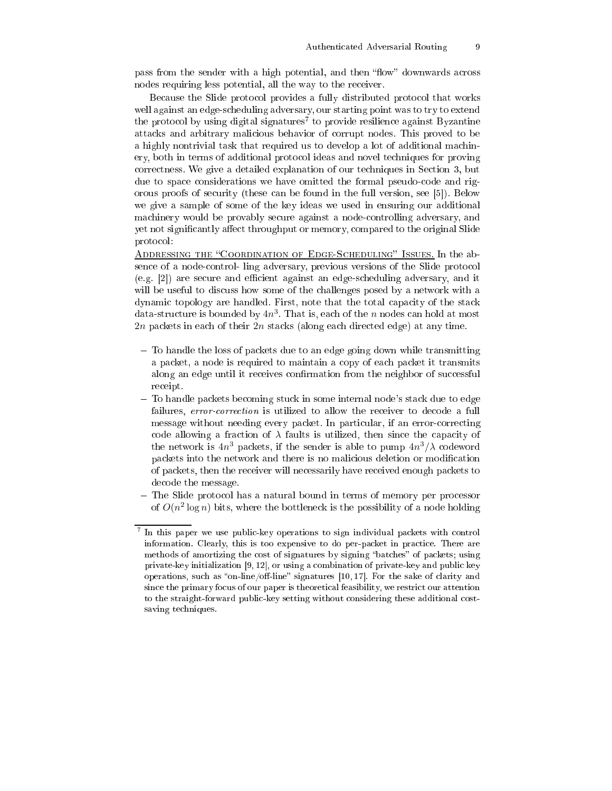pass from the sender with a high potential, and then "flow" downwards across nodes requiring less potential, all the way to the receiver.

Because the Slide protocol provides a fully distributed protocol that works well against an edge-scheduling adversary, our starting point was to try to extend the protocol by using digital signatures<sup>7</sup> to provide resilience against Byzantine attacks and arbitrary malicious behavior of corrupt nodes. This proved to be a highly nontrivial task that required us to develop a lot of additional machinery, both in terms of additional protocol ideas and novel techniques for proving correctness. We give a detailed explanation of our techniques in Section 3, but due to space considerations we have omitted the formal pseudo-code and rigorous proofs of security (these can be found in the full version, see [5]). Below we give a sample of some of the key ideas we used in ensuring our additional machinery would be provably secure against a node-controlling adversary, and yet not significantly affect throughput or memory, compared to the original Slide protocol:

ADDRESSING THE "COORDINATION OF EDGE-SCHEDULING" ISSUES. In the absence of a node-control- ling adversary, previous versions of the Slide protocol  $(e.g. [2])$  are secure and efficient against an edge-scheduling adversary, and it will be useful to discuss how some of the challenges posed by a network with a dynamic topology are handled. First, note that the total capacity of the stack data-structure is bounded by  $4n^3$ . That is, each of the  $n$  nodes can hold at most 2n packets in each of their  $2n$  stacks (along each directed edge) at any time.

- $-$  To handle the loss of packets due to an edge going down while transmitting a packet, a node is required to maintain a copy of each packet it transmits along an edge until it receives confirmation from the neighbor of successful receipt.
- To handle packets becoming stuck in some internal node's stack due to edge failures, error-correction is utilized to allow the receiver to decode a full message without needing every packet. In particular, if an error-correcting code allowing a fraction of  $\lambda$  faults is utilized, then since the capacity of the network is  $4n^3$  packets, if the sender is able to pump  $4n^3/\lambda$  codeword packets into the network and there is no malicious deletion or modication of packets, then the receiver will necessarily have received enough packets to decode the message.
- The Slide protocol has a natural bound in terms of memory per processor of  $O(n^2 \log n)$  bits, where the bottleneck is the possibility of a node holding

<sup>7</sup> In this paper we use public-key operations to sign individual packets with control information. Clearly, this is too expensive to do per-packet in practice. There are methods of amortizing the cost of signatures by signing "batches" of packets; using private-key initialization [9, 12], or using a combination of private-key and public key operations, such as "on-line/off-line" signatures [10, 17]. For the sake of clarity and since the primary focus of our paper is theoretical feasibility, we restrict our attention to the straight-forward public-key setting without considering these additional costsaving techniques.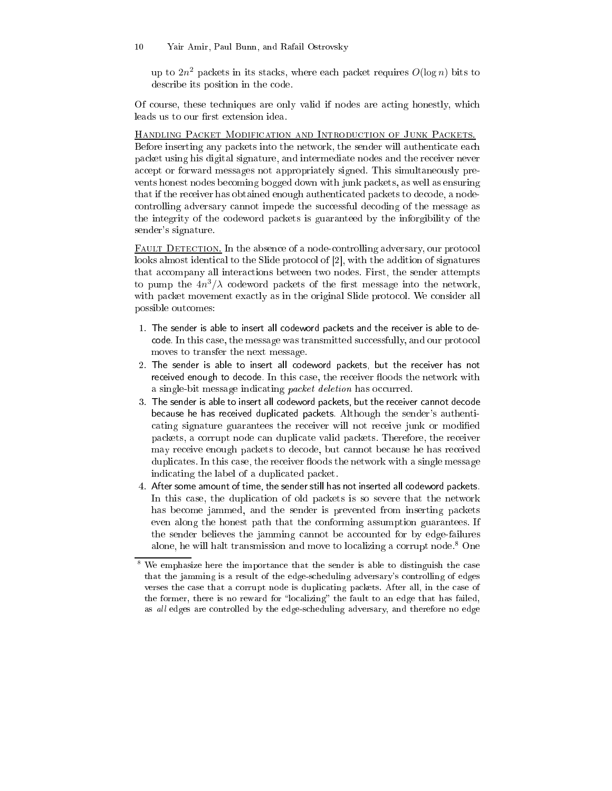$10$ Yair Amir, Paul Bunn, and Rafail Ostrovsky

up to  $2n^2$  packets in its stacks, where each packet requires  $O(\log n)$  bits to describe its position in the code.

Of course, these techniques are only valid if nodes are acting honestly, which leads us to our first extension idea.

HANDLING PACKET MODIFICATION AND INTRODUCTION OF JUNK PACKETS. Before inserting any packets into the network, the sender will authenticate each packet using his digital signature, and intermediate nodes and the receiver never accept or forward messages not appropriately signed. This simultaneously prevents honest nodes becoming bogged down with junk packets, as well as ensuring that if the receiver has obtained enough authenticated packets to decode, a nodecontrolling adversary cannot impede the successful decoding of the message as the integrity of the codeword packets is guaranteed by the inforgibility of the sender's signature.

FAULT DETECTION. In the absence of a node-controlling adversary, our protocol looks almost identical to the Slide protocol of [2], with the addition of signatures that accompany all interactions between two nodes. First, the sender attempts to pump the  $4n^3/\lambda$  codeword packets of the first message into the network, with packet movement exactly as in the original Slide protocol. We consider all possible outcomes:

- 1. The sender is able to insert all codeword packets and the receiver is able to decode. In this case, the message was transmitted successfully, and our protocol moves to transfer the next message.
- 2. The sender is able to insert all codeword packets, but the receiver has not received enough to decode. In this case, the receiver floods the network with a single-bit message indicating packet deletion has occurred.
- 3. The sender is able to insert all codeword packets, but the receiver cannot decode because he has received duplicated packets. Although the sender's authenticating signature guarantees the receiver will not receive junk or modified packets, a corrupt node can duplicate valid packets. Therefore, the receiver may receive enough packets to decode, but cannot because he has received duplicates. In this case, the receiver floods the network with a single message indicating the label of a duplicated packet.
- 4. After some amount of time, the sender still has not inserted all codeword packets. In this case, the duplication of old packets is so severe that the network has become jammed, and the sender is prevented from inserting packets even along the honest path that the conforming assumption guarantees. If the sender believes the jamming cannot be accounted for by edge-failures alone, he will halt transmission and move to localizing a corrupt node.<sup>8</sup> One

 $\,$  We emphasize here the importance that the sender is able to distinguish the case that the jamming is a result of the edge-scheduling adversary's controlling of edges verses the case that a corrupt node is duplicating packets. After all, in the case of the former, there is no reward for "localizing" the fault to an edge that has failed, as all edges are controlled by the edge-scheduling adversary, and therefore no edge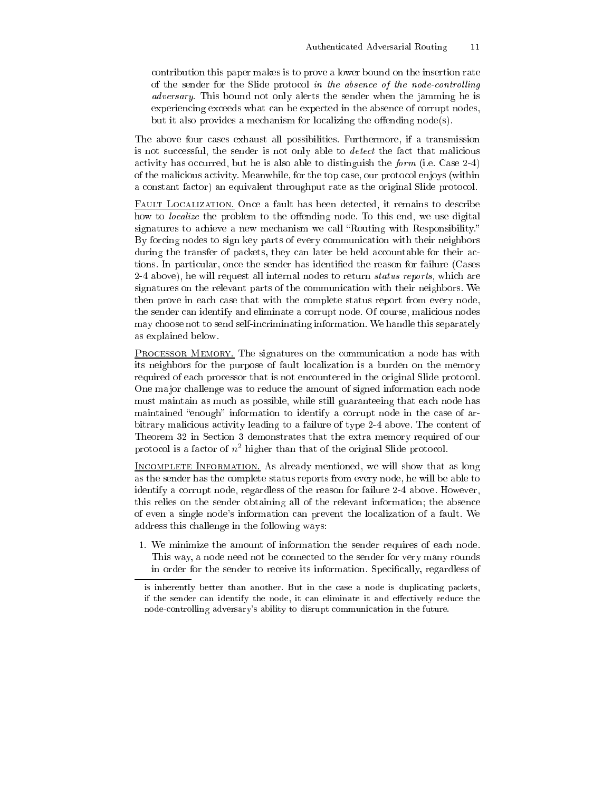contribution this paper makes is to prove a lower bound on the insertion rate of the sender for the Slide protocol in the absence of the node-controlling adversary. This bound not only alerts the sender when the jamming he is experiencing exceeds what can be expected in the absence of corrupt nodes, but it also provides a mechanism for localizing the offending  $node(s)$ .

The above four cases exhaust all possibilities. Furthermore, if a transmission is not successful, the sender is not only able to detect the fact that malicious activity has occurred, but he is also able to distinguish the form (i.e. Case 2-4) of the malicious activity. Meanwhile, for the top case, our protocol enjoys (within a constant factor) an equivalent throughput rate as the original Slide protocol.

Fault Localization. Once <sup>a</sup> fault has been detected, it remains to describe how to *localize* the problem to the offending node. To this end, we use digital signatures to achieve a new mechanism we call "Routing with Responsibility." By forcing nodes to sign key parts of every communication with their neighbors during the transfer of packets, they can later be held accountable for their actions. In particular, once the sender has identified the reason for failure (Cases  $2-4$  above), he will request all internal nodes to return *status reports*, which are signatures on the relevant parts of the communication with their neighbors. We then prove in each case that with the complete status report from every node, the sender can identify and eliminate a corrupt node. Of course, malicious nodes may choose not to send self-incriminating information. We handle this separately as explained below.

PROCESSOR MEMORY. The signatures on the communication a node has with its neighbors for the purpose of fault localization is a burden on the memory required of each processor that is not encountered in the original Slide protocol. One major challenge was to reduce the amount of signed information each node must maintain as much as possible, while still guaranteeing that each node has maintained "enough" information to identify a corrupt node in the case of arbitrary malicious activity leading to a failure of type 2-4 above. The content of Theorem 32 in Section 3 demonstrates that the extra memory required of our protocol is a factor of  $n^2$  higher than that of the original Slide protocol.

Incomplete Information. As already mentioned, we will show that as long as the sender has the complete status reports from every node, he will be able to identify a corrupt node, regardless of the reason for failure 2-4 above. However, this relies on the sender obtaining all of the relevant information; the absence of even a single node's information can prevent the localization of a fault. We address this challenge in the following ways:

1. We minimize the amount of information the sender requires of each node. This way, a node need not be connected to the sender for very many rounds in order for the sender to receive its information. Specifically, regardless of

is inherently better than another. But in the case a node is duplicating packets, if the sender can identify the node, it can eliminate it and effectively reduce the node-controlling adversary's ability to disrupt communication in the future.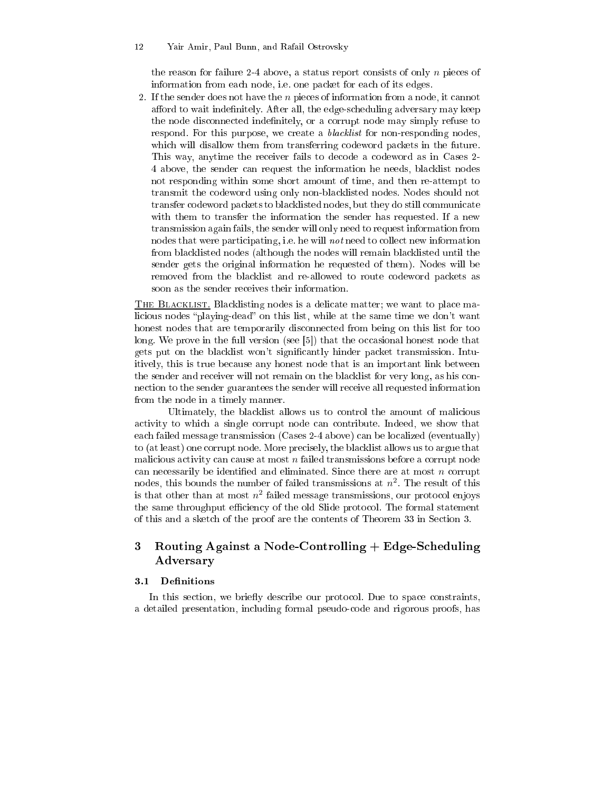#### 12 Yair Amir, Paul Bunn, and Rafail Ostrovsky

the reason for failure 2-4 above, a status report consists of only n pieces of information from each node, i.e. one packet for each of its edges.

2. If the sender does not have the n pieces of information from a node, it cannot afford to wait indefinitely. After all, the edge-scheduling adversary may keep the node disconnected indefinitely, or a corrupt node may simply refuse to respond. For this purpose, we create a *blacklist* for non-responding nodes, which will disallow them from transferring codeword packets in the future. This way, anytime the receiver fails to decode a codeword as in Cases 2- 4 above, the sender can request the information he needs, blacklist nodes not responding within some short amount of time, and then re-attempt to transmit the codeword using only non-blacklisted nodes. Nodes should not transfer codeword packets to blacklisted nodes, but they do still communicate with them to transfer the information the sender has requested. If a new transmission again fails, the sender will only need to request information from nodes that were participating, i.e. he will not need to collect new information from blacklisted nodes (although the nodes will remain blacklisted until the sender gets the original information he requested of them). Nodes will be removed from the blacklist and re-allowed to route codeword packets as soon as the sender receives their information.

The Blacklist. Blacklisting nodes is <sup>a</sup> delicate matter; we want to place malicious nodes "playing-dead" on this list, while at the same time we don't want honest nodes that are temporarily disconnected from being on this list for too long. We prove in the full version (see [5]) that the occasional honest node that gets put on the blacklist won't signicantly hinder packet transmission. Intuitively, this is true because any honest node that is an important link between the sender and receiver will not remain on the blacklist for very long, as his connection to the sender guarantees the sender will receive all requested information from the node in a timely manner.

Ultimately, the blacklist allows us to control the amount of malicious activity to which a single corrupt node can contribute. Indeed, we show that each failed message transmission (Cases 2-4 above) can be localized (eventually) to (at least) one corrupt node. More precisely, the blacklist allows us to argue that malicious activity can cause at most  $n$  failed transmissions before a corrupt node can necessarily be identified and eliminated. Since there are at most  $n$  corrupt nodes, this bounds the number of failed transmissions at  $n^2$ . The result of this is that other than at most  $n^2$  failed message transmissions, our protocol enjoys the same throughput efficiency of the old Slide protocol. The formal statement of this and a sketch of the proof are the contents of Theorem 33 in Section 3.

# 3 Routing Against a Node-Controlling + Edge-Scheduling Adversary

## 3.1 Definitions

In this section, we briefly describe our protocol. Due to space constraints, a detailed presentation, including formal pseudo-code and rigorous proofs, has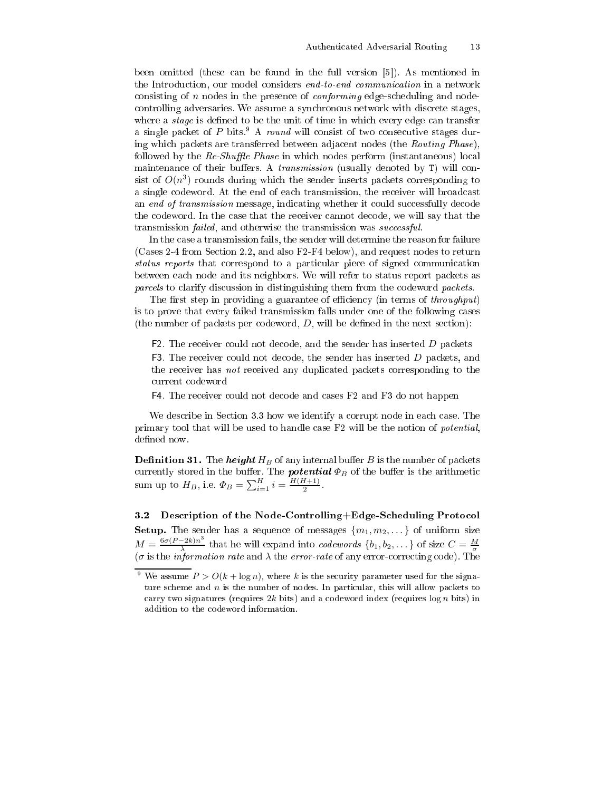been omitted (these can be found in the full version [5]). As mentioned in the Introduction, our model considers end-to-end communication in a network consisting of n nodes in the presence of conforming edge-scheduling and nodecontrolling adversaries. We assume a synchronous network with discrete stages, where a *stage* is defined to be the unit of time in which every edge can transfer a single packet of  $P$  bits.<sup>9</sup> A *round* will consist of two consecutive stages during which packets are transferred between adjacent nodes (the Routing Phase), followed by the  $\text{Re-Shuffle Phase}$  in which nodes perform (instantaneous) local maintenance of their buffers. A *transmission* (usually denoted by  $T$ ) will consist of  $O(n^3)$  rounds during which the sender inserts packets corresponding to a single codeword. At the end of each transmission, the receiver will broadcast an end of transmission message, indicating whether it could successfully decode the codeword. In the case that the receiver cannot decode, we will say that the transmission *failed*, and otherwise the transmission was *successful*.

In the case a transmission fails, the sender will determine the reason for failure (Cases 2-4 from Section 2.2, and also F2-F4 below), and request nodes to return status reports that correspond to a particular piece of signed communication between each node and its neighbors. We will refer to status report packets as parcels to clarify discussion in distinguishing them from the codeword packets.

The first step in providing a guarantee of efficiency (in terms of *throughput*) is to prove that every failed transmission falls under one of the following cases (the number of packets per codeword,  $D$ , will be defined in the next section):

- F2. The receiver could not decode, and the sender has inserted D packets
- F3. The receiver could not decode, the sender has inserted D packets, and the receiver has not received any duplicated packets corresponding to the current codeword
- F4. The receiver could not decode and cases F2 and F3 do not happen

We describe in Section 3.3 how we identify a corrupt node in each case. The primary tool that will be used to handle case F2 will be the notion of potential, defined now.

**Definition 31.** The *height*  $H_B$  of any internal buffer B is the number of packets currently stored in the buffer. The  $\boldsymbol{potential} \ \varPhi_{B}$  of the buffer is the arithmetic sum up to  $H_B$ , i.e.  $\Phi_B = \sum_{i=1}^H i = \frac{H(H+1)}{2}$ 2 .

3.2 Description of the Node-Controlling+Edge-Scheduling Protocol **Setup.** The sender has a sequence of messages  $\{m_1, m_2, ...\}$  of uniform size  $M = \frac{6\sigma (P-2k)n^3}{\lambda}$  $M = \frac{6\sigma (P - 2k)n^3}{\lambda}$  that he will expand into *codewords*  $\{b_1, b_2, \dots\}$  of size  $C = \frac{M}{\sigma}$  (*σ* is the *information rate* and  $\lambda$  the *error-rate* of any error-correcting code). The

<sup>&</sup>lt;sup>9</sup> We assume  $P > O(k + \log n)$ , where k is the security parameter used for the signature scheme and  $n$  is the number of nodes. In particular, this will allow packets to carry two signatures (requires  $2k$  bits) and a codeword index (requires  $\log n$  bits) in addition to the codeword information.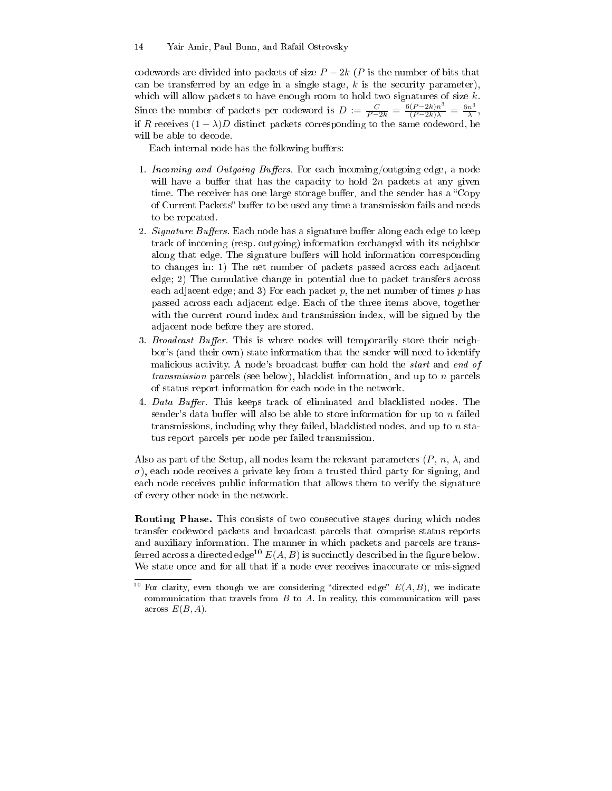codewords are divided into packets of size  $P-2k$  (P is the number of bits that can be transferred by an edge in a single stage,  $k$  is the security parameter), which will allow packets to have enough room to hold two signatures of size  $k$ . Since the number of packets per codeword is  $D := \frac{C}{P-2k} = \frac{6(P-2k)n^3}{(P-2k)\lambda} = \frac{6n^3}{\lambda}$ Finct the number of packets per codeword is  $D := P_{2k} = (P_{2k})\lambda = \lambda$ ,<br>if R receives  $(1 - \lambda)D$  distinct packets corresponding to the same codeword, he will be able to decode.

Each internal node has the following buffers:

- 1. Incoming and Outgoing Buffers. For each incoming/outgoing edge, a node will have a buffer that has the capacity to hold  $2n$  packets at any given time. The receiver has one large storage buffer, and the sender has a "Copy" of Current Packets" buffer to be used any time a transmission fails and needs to be repeated.
- 2. Signature Buffers. Each node has a signature buffer along each edge to keep track of incoming (resp. outgoing) information exchanged with its neighbor along that edge. The signature buffers will hold information corresponding to changes in: 1) The net number of packets passed across each adjacent edge; 2) The cumulative change in potential due to packet transfers across each adjacent edge; and 3) For each packet  $p$ , the net number of times  $p$  has passed across each adjacent edge. Each of the three items above, together with the current round index and transmission index, will be signed by the adjacent node before they are stored.
- 3. Broadcast Buffer. This is where nodes will temporarily store their neighbor's (and their own) state information that the sender will need to identify malicious activity. A node's broadcast buffer can hold the *start* and end of transmission parcels (see below), blacklist information, and up to n parcels of status report information for each node in the network.
- 4. Data Buffer. This keeps track of eliminated and blacklisted nodes. The sender's data buffer will also be able to store information for up to  $n$  failed transmissions, including why they failed, blacklisted nodes, and up to  $n$  status report parcels per node per failed transmission.

Also as part of the Setup, all nodes learn the relevant parameters  $(P, n, \lambda)$ , and  $\sigma$ ), each node receives a private key from a trusted third party for signing, and each node receives public information that allows them to verify the signature of every other node in the network.

Routing Phase. This consists of two consecutive stages during which nodes transfer codeword packets and broadcast parcels that comprise status reports and auxiliary information. The manner in which packets and parcels are transferred across a directed edge<sup>10</sup>  $E(A, B)$  is succinctly described in the figure below. We state once and for all that if a node ever receives inaccurate or mis-signed

<sup>10</sup> For clarity, even though we are considering "directed edge"  $E(A, B)$ , we indicate communication that travels from  $B$  to  $A$ . In reality, this communication will pass across  $E(B, A)$ .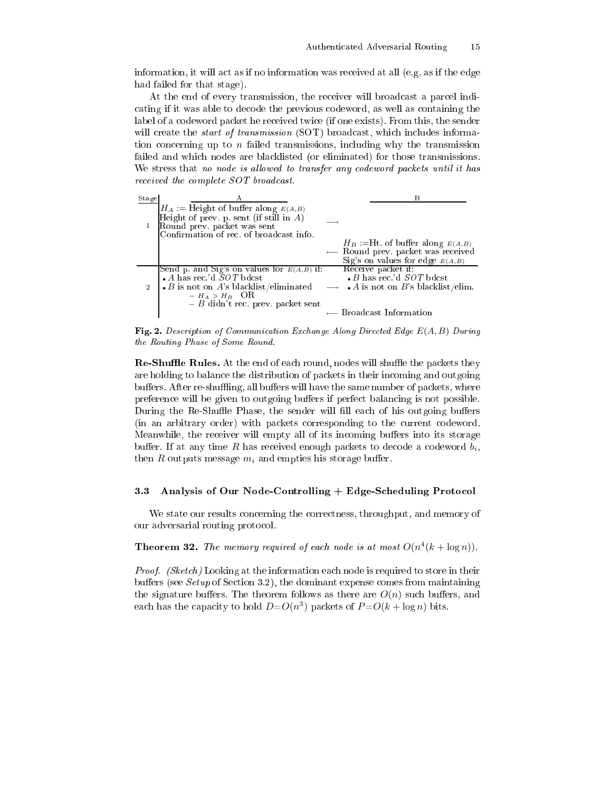information, it will act as if no information was received at all (e.g. as if the edge had failed for that stage).

At the end of every transmission, the receiver will broadcast a parcel indicating if it was able to decode the previous codeword, as well as containing the label of a codeword packet he received twice (if one exists). From this, the sender will create the *start of transmission* (SOT) broadcast, which includes information concerning up to n failed transmissions, including why the transmission failed and which nodes are blacklisted (or eliminated) for those transmissions. We stress that no node is allowed to transfer any codeword packets until it has received the complete SOT broadcast.

| Stage         |                                                                                                                                                                                                |                                                                                                       |
|---------------|------------------------------------------------------------------------------------------------------------------------------------------------------------------------------------------------|-------------------------------------------------------------------------------------------------------|
|               | $H_A :=$ Height of buffer along $E(A,B)$<br>Height of prev. p. sent (if still in $A$ )<br>Round prev. packet was sent<br>Confirmation of rec. of broadcast info.                               |                                                                                                       |
|               |                                                                                                                                                                                                | $H_B := Ht$ of buffer along $E(A,B)$<br>$\leftarrow$ Round prev. packet was received                  |
|               |                                                                                                                                                                                                | Sig's on values for edge $E(A,B)$                                                                     |
| $\mathcal{D}$ | Send p. and Sig's on values for $E(A,B)$ if:<br>$\bullet$ A has rec.'d $SOT$ bdcst<br>$\bullet$ B is not on A's blacklist/eliminated<br>$-H_A > H_B$ OR<br>$- B$ didn't rec. prev. packet sent | Receive packet if:<br>$\bullet$ B has rec.'d $SOT$ bdcst<br>$\bullet$ A is not on B's blacklist/elim. |
|               |                                                                                                                                                                                                | Broadcast Information                                                                                 |

Fig. 2. Description of Communication Exchange Along Directed Edge E(A,B) During the Routing Phase of Some Round.

**Re-Shuffle Rules.** At the end of each round, nodes will shuffle the packets they are holding to balance the distribution of packets in their incoming and outgoing buffers. After re-shuffling, all buffers will have the same number of packets, where preference will be given to outgoing buffers if perfect balancing is not possible. During the Re-Shuffle Phase, the sender will fill each of his outgoing buffers (in an arbitrary order) with packets corresponding to the current codeword. Meanwhile, the receiver will empty all of its incoming buffers into its storage buffer. If at any time  $R$  has received enough packets to decode a codeword  $b_i,$ then  $R$  outputs message  $m_i$  and empties his storage buffer.

## 3.3 Analysis of Our Node-Controlling + Edge-Scheduling Protocol

We state our results concerning the correctness, throughput, and memory of our adversarial routing protocol.

**Theorem 32.** The memory required of each node is at most  $O(n^4(k + \log n))$ .

Proof. (Sketch) Looking at the information each node is required to store in their buffers (see  $Setup$  of Section 3.2), the dominant expense comes from maintaining the signature buffers. The theorem follows as there are  $O(n)$  such buffers, and each has the capacity to hold  $D=O(n^3)$  packets of  $P=O(k+\log n)$  bits.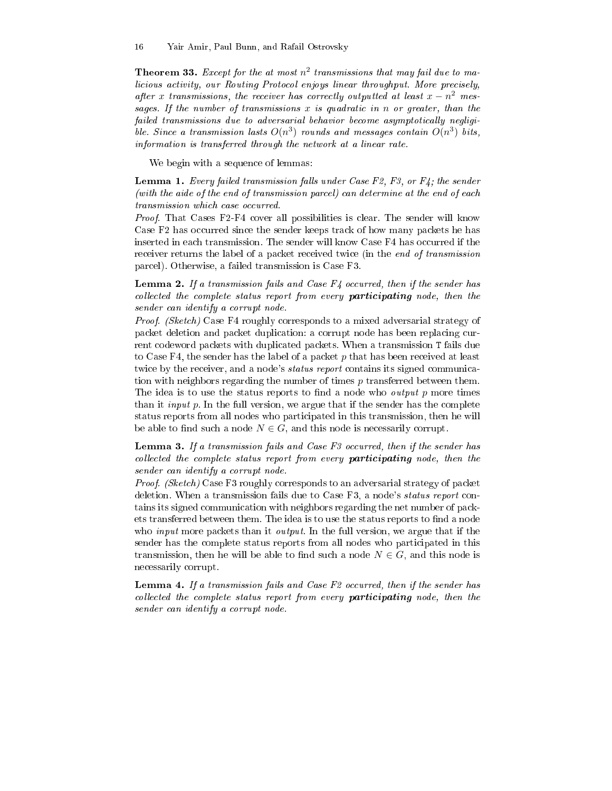**Theorem 33.** Except for the at most  $n^2$  transmissions that may fail due to malicious activity, our Routing Protocol enjoys linear throughput. More precisely, after x transmissions, the receiver has correctly outputted at least  $x - n^2$  messages. If the number of transmissions  $x$  is quadratic in n or greater, than the failed transmissions due to adversarial behavior become asymptotical ly negligible. Since a transmission lasts  $O(n^3)$  rounds and messages contain  $O(n^3)$  bits, information is transferred through the network at <sup>a</sup> linear rate.

We begin with a sequence of lemmas:

**Lemma 1.** Every failed transmission falls under Case F2, F3, or F4; the sender (with the aide of the end of transmission parcel) can determine at the end of each

Proof. That Cases F2-F4 cover all possibilities is clear. The sender will know Case F2 has occurred since the sender keeps track of how many packets he has inserted in each transmission. The sender will know Case F4 has occurred if the receiver returns the label of a packet received twice (in the end of transmission parcel). Otherwise, a failed transmission is Case F3.

Lemma 2. If <sup>a</sup> transmission fails and Case F4 occurred, then if the sender has col lected the complete status report from every participating node, then the sender can identify <sup>a</sup> corrupt node.

Proof. (Sketch) Case F4 roughly corresponds to a mixed adversarial strategy of packet deletion and packet duplication: a corrupt node has been replacing current codeword packets with duplicated packets. When a transmission T fails due to Case F4, the sender has the label of a packet  $p$  that has been received at least twice by the receiver, and a node's *status report* contains its signed communication with neighbors regarding the number of times p transferred between them. The idea is to use the status reports to find a node who *output* p more times than it *input p*. In the full version, we argue that if the sender has the complete status reports from all nodes who participated in this transmission, then he will be able to find such a node  $N \in G$ , and this node is necessarily corrupt.

Lemma 3. If a transmission fails and Case F3 occurred, then if the sender has col lected the complete status report from every participating node, then the sender can identify a correct can identify a correct correct correct correct correct correct correct correct co

Proof. (Sketch) Case F3 roughly corresponds to an adversarial strategy of packet deletion. When a transmission fails due to Case F3, a node's status report contains its signed communication with neighbors regarding the net number of packets transferred between them. The idea is to use the status reports to find a node who *input* more packets than it *output*. In the full version, we argue that if the sender has the complete status reports from all nodes who participated in this transmission, then he will be able to find such a node  $N \in G$ , and this node is necessarily corrupt.

Lemma 4. If <sup>a</sup> transmission fails and Case F2 occurred, then if the sender has col lected the complete status report from every participating node, then the sender can identify a correct can identify a correct correct correct correct correct correct correct correct co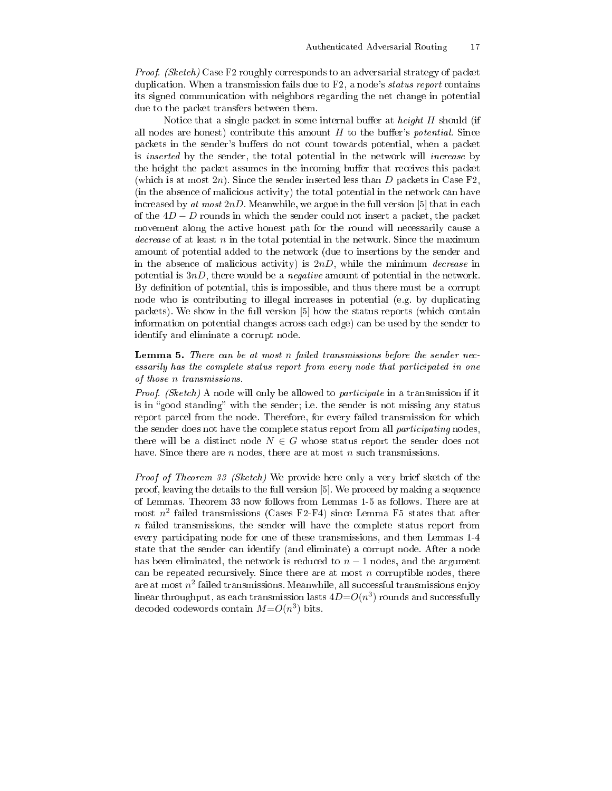Proof. (Sketch) Case F2 roughly corresponds to an adversarial strategy of packet duplication. When a transmission fails due to F2, a node's status report contains its signed communication with neighbors regarding the net change in potential due to the packet transfers between them.

Notice that a single packet in some internal buffer at *height H* should (if all nodes are honest) contribute this amount  $H$  to the buffer's *potential*. Since packets in the sender's buffers do not count towards potential, when a packet is inserted by the sender, the total potential in the network will increase by the height the packet assumes in the incoming buffer that receives this packet (which is at most  $2n$ ). Since the sender inserted less than D packets in Case F2, (in the absence of malicious activity) the total potential in the network can have increased by at most  $2nD$ . Meanwhile, we argue in the full version [5] that in each of the  $4D - D$  rounds in which the sender could not insert a packet, the packet movement along the active honest path for the round will necessarily cause a decrease of at least  $n$  in the total potential in the network. Since the maximum amount of potential added to the network (due to insertions by the sender and in the absence of malicious activity) is  $2nD$ , while the minimum *decrease* in potential is  $3nD$ , there would be a *negative* amount of potential in the network. By definition of potential, this is impossible, and thus there must be a corrupt node who is contributing to illegal increases in potential (e.g. by duplicating packets). We show in the full version [5] how the status reports (which contain information on potential changes across each edge) can be used by the sender to identify and eliminate a corrupt node.

# Lemma 5. There can be at most n failed transmissions before the sender necessarily has the complete status report from every node that participated in one of those n transmissions.

Proof. (Sketch) A node will only be allowed to participate in a transmission if it is in "good standing" with the sender; i.e. the sender is not missing any status report parcel from the node. Therefore, for every failed transmission for which the sender does not have the complete status report from all *participating* nodes, there will be a distinct node  $N \in G$  whose status report the sender does not have. Since there are  $n$  nodes, there are at most  $n$  such transmissions.

Proof of Theorem <sup>33</sup> (Sketch) We provide here only a very brief sketch of the proof, leaving the details to the full version [5]. We proceed by making a sequence of Lemmas. Theorem 33 now follows from Lemmas 1-5 as follows. There are at most  $n^2$  failed transmissions (Cases F2-F4) since Lemma F5 states that after n failed transmissions, the sender will have the complete status report from every participating node for one of these transmissions, and then Lemmas 1-4 state that the sender can identify (and eliminate) a corrupt node. After a node has been eliminated, the network is reduced to  $n-1$  nodes, and the argument can be repeated recursively. Since there are at most  $n$  corruptible nodes, there are at most  $n^2$  failed transmissions. Meanwhile, all successful transmissions enjoy linear throughput, as each transmission lasts  $4D{=}O(n^3)$  rounds and successfully decoded codewords contain  $M = O(n^3)$  bits.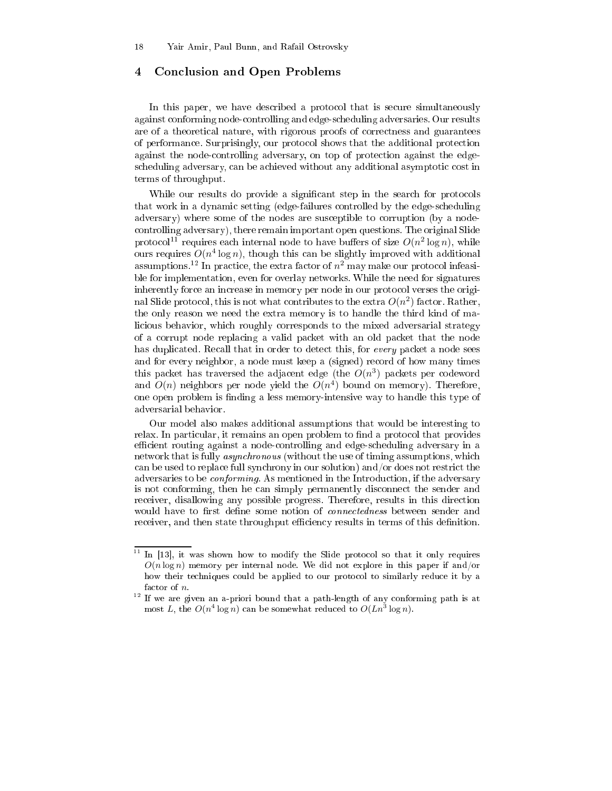### 4 Conclusion and Open Problems  $\overline{\mathbf{4}}$

In this paper, we have described a protocol that is secure simultaneously against conforming node-controlling and edge-scheduling adversaries. Our results are of a theoretical nature, with rigorous proofs of correctness and guarantees of performance. Surprisingly, our protocol shows that the additional protection against the node-controlling adversary, on top of protection against the edgescheduling adversary, can be achieved without any additional asymptotic cost in terms of throughput.

While our results do provide a significant step in the search for protocols that work in a dynamic setting (edge-failures controlled by the edge-scheduling adversary) where some of the nodes are susceptible to corruption (by a nodecontrolling adversary), there remain important open questions. The original Slide protocol $^{11}$  requires each internal node to have buffers of size  $O(n^2\log n)$ , while ours requires  $O(n^4\log n),$  though this can be slightly improved with additional assumptions.<sup>12</sup> In practice, the extra factor of  $n^2$  may make our protocol infeasible for implementation, even for overlay networks. While the need for signatures inherently force an increase in memory per node in our protocol verses the original Slide protocol, this is not what contributes to the extra  $O(n^2)$  factor. Rather, the only reason we need the extra memory is to handle the third kind of malicious behavior, which roughly corresponds to the mixed adversarial strategy of a corrupt node replacing a valid packet with an old packet that the node has duplicated. Recall that in order to detect this, for *every* packet a node sees and for every neighbor, a node must keep a (signed) record of how many times this packet has traversed the adjacent edge (the  $O(n^3)$  packets per codeword and  $O(n)$  neighbors per node yield the  $O(n^4)$  bound on memory). Therefore, one open problem is finding a less memory-intensive way to handle this type of adversarial behavior.

Our model also makes additional assumptions that would be interesting to relax. In particular, it remains an open problem to find a protocol that provides efficient routing against a node-controlling and edge-scheduling adversary in a network that is fully *asynchronous* (without the use of timing assumptions, which can be used to replace full synchrony in our solution) and/or does not restrict the adversaries to be *conforming*. As mentioned in the Introduction, if the adversary is not conforming, then he can simply permanently disconnect the sender and receiver, disallowing any possible progress. Therefore, results in this direction would have to first define some notion of *connectedness* between sender and receiver, and then state throughput efficiency results in terms of this definition.

 $\lceil \cdot \rceil$  in [13], it was shown how to modify the Slide protocol so that it only requires  $O(n \log n)$  memory per internal node. We did not explore in this paper if and/or how their techniques could be applied to our protocol to similarly reduce it by a factor of n.

<sup>12</sup> If we are given an a-priori bound that a path-length of any conforming path is at most L, the  $O(n^4 \log n)$  can be somewhat reduced to  $O(Ln^3 \log n)$ .